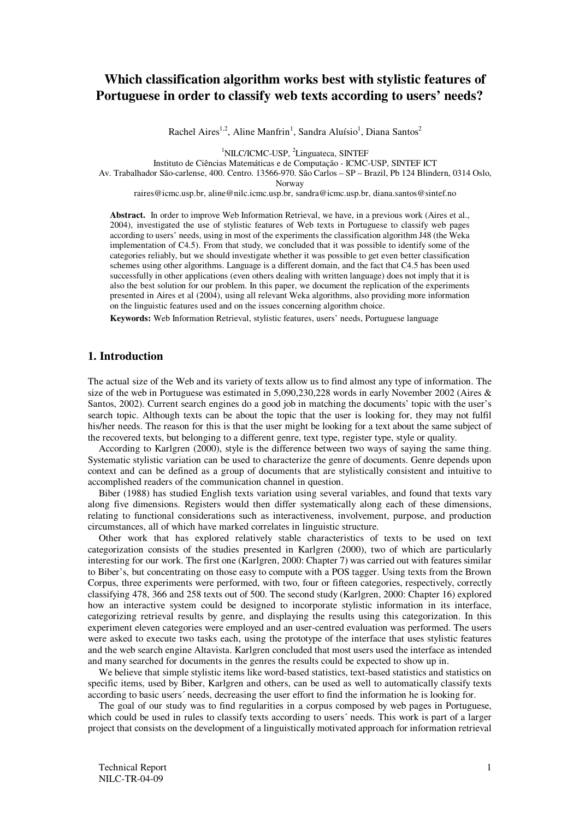# **Which classification algorithm works best with stylistic features of Portuguese in order to classify web texts according to users' needs?**

Rachel Aires<sup>1,2</sup>, Aline Manfrin<sup>1</sup>, Sandra Aluísio<sup>1</sup>, Diana Santos<sup>2</sup>

<sup>1</sup>NILC/ICMC-USP, <sup>2</sup>Linguateca, SINTEF

Instituto de Ciências Matemáticas e de Computação - ICMC-USP, SINTEF ICT

Av. Trabalhador São-carlense, 400. Centro. 13566-970. São Carlos – SP – Brazil, Pb 124 Blindern, 0314 Oslo,

Norway

raires@icmc.usp.br, aline@nilc.icmc.usp.br, sandra@icmc.usp.br, diana.santos@sintef.no

**Abstract.** In order to improve Web Information Retrieval, we have, in a previous work (Aires et al., 2004), investigated the use of stylistic features of Web texts in Portuguese to classify web pages according to users' needs, using in most of the experiments the classification algorithm J48 (the Weka implementation of C4.5). From that study, we concluded that it was possible to identify some of the categories reliably, but we should investigate whether it was possible to get even better classification schemes using other algorithms. Language is a different domain, and the fact that C4.5 has been used successfully in other applications (even others dealing with written language) does not imply that it is also the best solution for our problem. In this paper, we document the replication of the experiments presented in Aires et al (2004), using all relevant Weka algorithms, also providing more information on the linguistic features used and on the issues concerning algorithm choice.

**Keywords:** Web Information Retrieval, stylistic features, users' needs, Portuguese language

# **1. Introduction**

The actual size of the Web and its variety of texts allow us to find almost any type of information. The size of the web in Portuguese was estimated in 5,090,230,228 words in early November 2002 (Aires & Santos, 2002). Current search engines do a good job in matching the documents' topic with the user's search topic. Although texts can be about the topic that the user is looking for, they may not fulfil his/her needs. The reason for this is that the user might be looking for a text about the same subject of the recovered texts, but belonging to a different genre, text type, register type, style or quality.

According to Karlgren (2000), style is the difference between two ways of saying the same thing. Systematic stylistic variation can be used to characterize the genre of documents. Genre depends upon context and can be defined as a group of documents that are stylistically consistent and intuitive to accomplished readers of the communication channel in question.

Biber (1988) has studied English texts variation using several variables, and found that texts vary along five dimensions. Registers would then differ systematically along each of these dimensions, relating to functional considerations such as interactiveness, involvement, purpose, and production circumstances, all of which have marked correlates in linguistic structure.

Other work that has explored relatively stable characteristics of texts to be used on text categorization consists of the studies presented in Karlgren (2000), two of which are particularly interesting for our work. The first one (Karlgren, 2000: Chapter 7) was carried out with features similar to Biber's, but concentrating on those easy to compute with a POS tagger. Using texts from the Brown Corpus, three experiments were performed, with two, four or fifteen categories, respectively, correctly classifying 478, 366 and 258 texts out of 500. The second study (Karlgren, 2000: Chapter 16) explored how an interactive system could be designed to incorporate stylistic information in its interface, categorizing retrieval results by genre, and displaying the results using this categorization. In this experiment eleven categories were employed and an user-centred evaluation was performed. The users were asked to execute two tasks each, using the prototype of the interface that uses stylistic features and the web search engine Altavista. Karlgren concluded that most users used the interface as intended and many searched for documents in the genres the results could be expected to show up in.

We believe that simple stylistic items like word-based statistics, text-based statistics and statistics on specific items, used by Biber, Karlgren and others, can be used as well to automatically classify texts according to basic users´ needs, decreasing the user effort to find the information he is looking for.

The goal of our study was to find regularities in a corpus composed by web pages in Portuguese, which could be used in rules to classify texts according to users´ needs. This work is part of a larger project that consists on the development of a linguistically motivated approach for information retrieval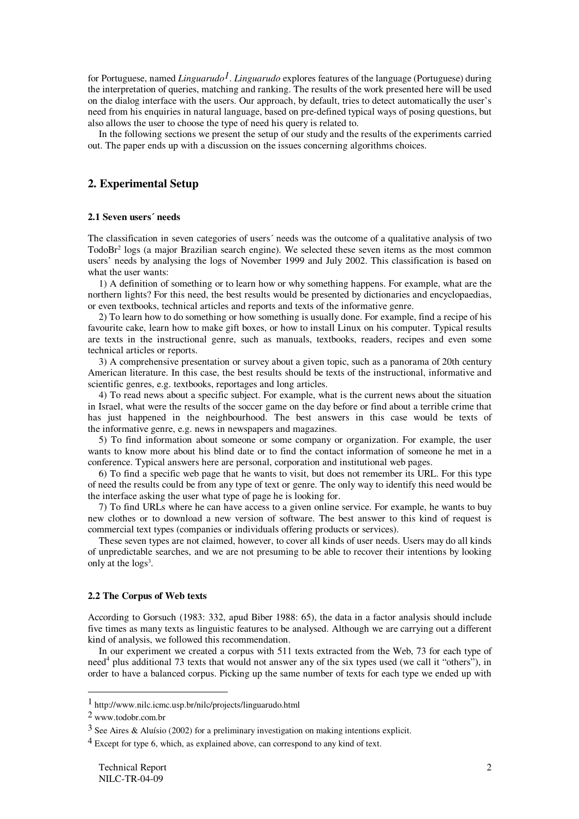for Portuguese, named *Linguarudo<sup>1</sup>. Linguarudo* explores features of the language (Portuguese) during the interpretation of queries, matching and ranking. The results of the work presented here will be used on the dialog interface with the users. Our approach, by default, tries to detect automatically the user's need from his enquiries in natural language, based on pre-defined typical ways of posing questions, but also allows the user to choose the type of need his query is related to.

In the following sections we present the setup of our study and the results of the experiments carried out. The paper ends up with a discussion on the issues concerning algorithms choices.

### **2. Experimental Setup**

#### **2.1 Seven users´ needs**

The classification in seven categories of users´ needs was the outcome of a qualitative analysis of two TodoBr 2 logs (a major Brazilian search engine). We selected these seven items as the most common users' needs by analysing the logs of November 1999 and July 2002. This classification is based on what the user wants:

1) A definition of something or to learn how or why something happens. For example, what are the northern lights? For this need, the best results would be presented by dictionaries and encyclopaedias, or even textbooks, technical articles and reports and texts of the informative genre.

2) To learn how to do something or how something is usually done. For example, find a recipe of his favourite cake, learn how to make gift boxes, or how to install Linux on his computer. Typical results are texts in the instructional genre, such as manuals, textbooks, readers, recipes and even some technical articles or reports.

3) A comprehensive presentation or survey about a given topic, such as a panorama of 20th century American literature. In this case, the best results should be texts of the instructional, informative and scientific genres, e.g. textbooks, reportages and long articles.

4) To read news about a specific subject. For example, what is the current news about the situation in Israel, what were the results of the soccer game on the day before or find about a terrible crime that has just happened in the neighbourhood. The best answers in this case would be texts of the informative genre, e.g. news in newspapers and magazines.

5) To find information about someone or some company or organization. For example, the user wants to know more about his blind date or to find the contact information of someone he met in a conference. Typical answers here are personal, corporation and institutional web pages.

6) To find a specific web page that he wants to visit, but does not remember its URL. For this type of need the results could be from any type of text or genre. The only way to identify this need would be the interface asking the user what type of page he is looking for.

7) To find URLs where he can have access to a given online service. For example, he wants to buy new clothes or to download a new version of software. The best answer to this kind of request is commercial text types (companies or individuals offering products or services).

These seven types are not claimed, however, to cover all kinds of user needs. Users may do all kinds of unpredictable searches, and we are not presuming to be able to recover their intentions by looking only at the logs<sup>3</sup>.

#### **2.2 The Corpus of Web texts**

According to Gorsuch (1983: 332, apud Biber 1988: 65), the data in a factor analysis should include five times as many texts as linguistic features to be analysed. Although we are carrying out a different kind of analysis, we followed this recommendation.

In our experiment we created a corpus with 511 texts extracted from the Web, 73 for each type of need<sup>4</sup> plus additional 73 texts that would not answer any of the six types used (we call it "others"), in order to have a balanced corpus. Picking up the same number of texts for each type we ended up with

<sup>1</sup> http://www.nilc.icmc.usp.br/nilc/projects/linguarudo.html

<sup>2</sup> www.todobr.com.br

 $3$  See Aires & Aluísio (2002) for a preliminary investigation on making intentions explicit.

<sup>&</sup>lt;sup>4</sup> Except for type 6, which, as explained above, can correspond to any kind of text.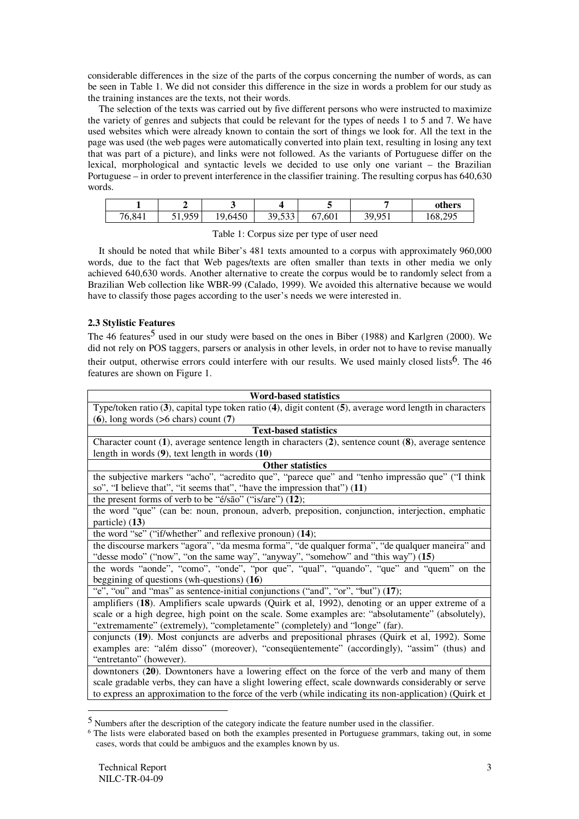considerable differences in the size of the parts of the corpus concerning the number of words, as can be seen in Table 1. We did not consider this difference in the size in words a problem for our study as the training instances are the texts, not their words.

The selection of the texts was carried out by five different persons who were instructed to maximize the variety of genres and subjects that could be relevant for the types of needs 1 to 5 and 7. We have used websites which were already known to contain the sort of things we look for. All the text in the page was used (the web pages were automatically converted into plain text, resulting in losing any text that was part of a picture), and links were not followed. As the variants of Portuguese differ on the lexical, morphological and syntactic levels we decided to use only one variant – the Brazilian Portuguese – in order to prevent interference in the classifier training. The resulting corpus has 640,630 words.

|        |             |         |                                     |                      |                       | others  |
|--------|-------------|---------|-------------------------------------|----------------------|-----------------------|---------|
| 76,841 | 959<br>ジェッシ | 19,6450 | $-\sim$<br>GΩ<br><i>- - - - - -</i> | ,601<br>$\mathbf{b}$ | 20.051<br>.u<br>2 J T | 168,295 |

Table 1: Corpus size per type of user need

It should be noted that while Biber's 481 texts amounted to a corpus with approximately 960,000 words, due to the fact that Web pages/texts are often smaller than texts in other media we only achieved 640,630 words. Another alternative to create the corpus would be to randomly select from a Brazilian Web collection like WBR-99 (Calado, 1999). We avoided this alternative because we would have to classify those pages according to the user's needs we were interested in.

# **2.3 Stylistic Features**

The 46 features<sup>5</sup> used in our study were based on the ones in Biber (1988) and Karlgren (2000). We did not rely on POS taggers, parsers or analysis in other levels, in order not to have to revise manually their output, otherwise errors could interfere with our results. We used mainly closed lists <sup>6</sup>. The 46 features are shown on Figure 1.

| <b>Word-based statistics</b>                                                                                      |  |  |  |
|-------------------------------------------------------------------------------------------------------------------|--|--|--|
| Type/token ratio $(3)$ , capital type token ratio $(4)$ , digit content $(5)$ , average word length in characters |  |  |  |
| $(6)$ , long words $(56 \text{ chars})$ count $(7)$                                                               |  |  |  |
| <b>Text-based statistics</b>                                                                                      |  |  |  |
| Character count (1), average sentence length in characters (2), sentence count (8), average sentence              |  |  |  |
| length in words $(9)$ , text length in words $(10)$                                                               |  |  |  |
| <b>Other statistics</b>                                                                                           |  |  |  |
| the subjective markers "acho", "acredito que", "parece que" and "tenho impressão que" ("I think                   |  |  |  |
| so", "I believe that", "it seems that", "have the impression that") $(11)$                                        |  |  |  |
| the present forms of verb to be "é/são" ("is/are") $(12)$ ;                                                       |  |  |  |
| the word "que" (can be: noun, pronoun, adverb, preposition, conjunction, interjection, emphatic                   |  |  |  |
| particle) (13)                                                                                                    |  |  |  |
| the word "se" ("if/whether" and reflexive pronoun) (14);                                                          |  |  |  |
| the discourse markers "agora", "da mesma forma", "de qualquer forma", "de qualquer maneira" and                   |  |  |  |
| "desse modo" ("now", "on the same way", "anyway", "somehow" and "this way") (15)                                  |  |  |  |
| the words "aonde", "como", "onde", "por que", "qual", "quando", "que" and "quem" on the                           |  |  |  |
| beggining of questions (wh-questions) $(16)$                                                                      |  |  |  |
| "e", "ou" and "mas" as sentence-initial conjunctions ("and", "or", "but") (17);                                   |  |  |  |
| amplifiers (18). Amplifiers scale upwards (Quirk et al, 1992), denoting or an upper extreme of a                  |  |  |  |
| scale or a high degree, high point on the scale. Some examples are: "absolutamente" (absolutely),                 |  |  |  |
| "extremamente" (extremely), "completamente" (completely) and "longe" (far).                                       |  |  |  |
| conjuncts (19). Most conjuncts are adverbs and prepositional phrases (Quirk et al, 1992). Some                    |  |  |  |
| examples are: "além disso" (moreover), "consequentemente" (accordingly), "assim" (thus) and                       |  |  |  |
| "entretanto" (however).                                                                                           |  |  |  |
| downtoners (20). Downtoners have a lowering effect on the force of the verb and many of them                      |  |  |  |
| scale gradable verbs, they can have a slight lowering effect, scale downwards considerably or serve               |  |  |  |
| to express an approximation to the force of the verb (while indicating its non-application) (Quirk et             |  |  |  |

<sup>5</sup> Numbers after the description of the category indicate the feature number used in the classifier.

<sup>6</sup> The lists were elaborated based on both the examples presented in Portuguese grammars, taking out, in some cases, words that could be ambiguos and the examples known by us.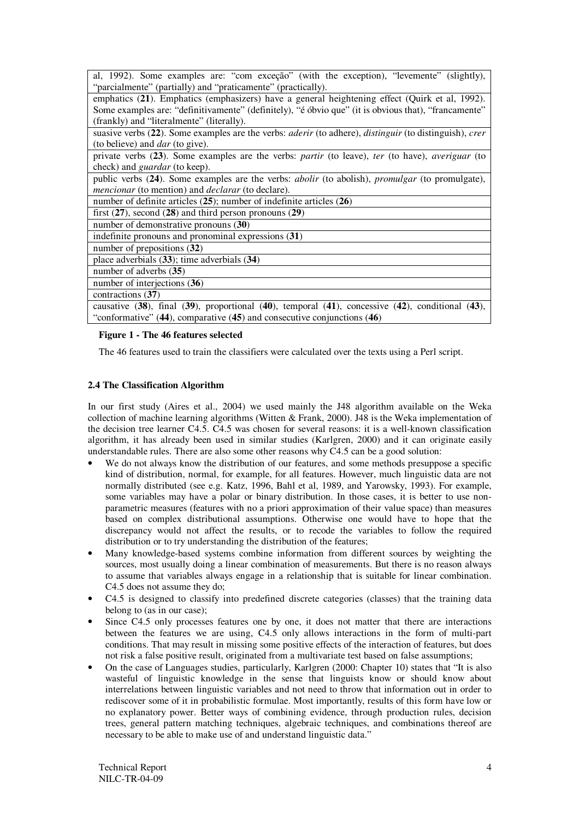| al, 1992). Some examples are: "com exceção" (with the exception), "levemente" (slightly),<br>"parcialmente" (partially) and "praticamente" (practically).                        |
|----------------------------------------------------------------------------------------------------------------------------------------------------------------------------------|
| emphatics (21). Emphatics (emphasizers) have a general heightening effect (Quirk et al, 1992).                                                                                   |
| Some examples are: "definitivamente" (definitely), "é óbvio que" (it is obvious that), "francamente"<br>(frankly) and "literalmente" (literally).                                |
| suasive verbs (22). Some examples are the verbs: <i>aderir</i> (to adhere), <i>distinguir</i> (to distinguish), <i>crer</i>                                                      |
| (to believe) and <i>dar</i> (to give).<br>private verbs (23). Some examples are the verbs: partir (to leave), ter (to have), averiguar (to                                       |
| check) and <i>guardar</i> (to keep).                                                                                                                                             |
| public verbs (24). Some examples are the verbs: <i>abolir</i> (to abolish), <i>promulgar</i> (to promulgate),<br><i>mencionar</i> (to mention) and <i>declarar</i> (to declare). |
| number of definite articles $(25)$ ; number of indefinite articles $(26)$                                                                                                        |
| first $(27)$ , second $(28)$ and third person pronouns $(29)$                                                                                                                    |
| number of demonstrative pronouns (30)                                                                                                                                            |
| indefinite pronouns and pronominal expressions (31)                                                                                                                              |
| number of prepositions $(32)$                                                                                                                                                    |
| place adverbials $(33)$ ; time adverbials $(34)$                                                                                                                                 |
| number of adverbs (35)                                                                                                                                                           |
| number of interjections $(36)$                                                                                                                                                   |
| contractions (37)                                                                                                                                                                |
| causative $(38)$ , final $(39)$ , proportional $(40)$ , temporal $(41)$ , concessive $(42)$ , conditional $(43)$ ,                                                               |
| "conformative" $(44)$ , comparative $(45)$ and consecutive conjunctions $(46)$                                                                                                   |

#### **Figure 1 - The 46 features selected**

The 46 features used to train the classifiers were calculated over the texts using a Perl script.

#### **2.4 The Classification Algorithm**

In our first study (Aires et al., 2004) we used mainly the J48 algorithm available on the Weka collection of machine learning algorithms (Witten & Frank, 2000). J48 is the Weka implementation of the decision tree learner C4.5. C4.5 was chosen for several reasons: it is a well-known classification algorithm, it has already been used in similar studies (Karlgren, 2000) and it can originate easily understandable rules. There are also some other reasons why  $C4.5$  can be a good solution:

- We do not always know the distribution of our features, and some methods presuppose a specific kind of distribution, normal, for example, for all features. However, much linguistic data are not normally distributed (see e.g. Katz, 1996, Bahl et al, 1989, and Yarowsky, 1993). For example, some variables may have a polar or binary distribution. In those cases, it is better to use nonparametric measures (features with no a priori approximation of their value space) than measures based on complex distributional assumptions. Otherwise one would have to hope that the discrepancy would not affect the results, or to recode the variables to follow the required distribution or to try understanding the distribution of the features;
- Many knowledge-based systems combine information from different sources by weighting the sources, most usually doing a linear combination of measurements. But there is no reason always to assume that variables always engage in a relationship that is suitable for linear combination. C4.5 does not assume they do;
- C4.5 is designed to classify into predefined discrete categories (classes) that the training data belong to (as in our case);
- Since C4.5 only processes features one by one, it does not matter that there are interactions between the features we are using, C4.5 only allows interactions in the form of multi-part conditions. That may result in missing some positive effects of the interaction of features, but does not risk a false positive result, originated from a multivariate test based on false assumptions;
- On the case of Languages studies, particularly, Karlgren (2000: Chapter 10) states that "It is also wasteful of linguistic knowledge in the sense that linguists know or should know about interrelations between linguistic variables and not need to throw that information out in order to rediscover some of it in probabilistic formulae. Most importantly, results of this form have low or no explanatory power. Better ways of combining evidence, through production rules, decision trees, general pattern matching techniques, algebraic techniques, and combinations thereof are necessary to be able to make use of and understand linguistic data."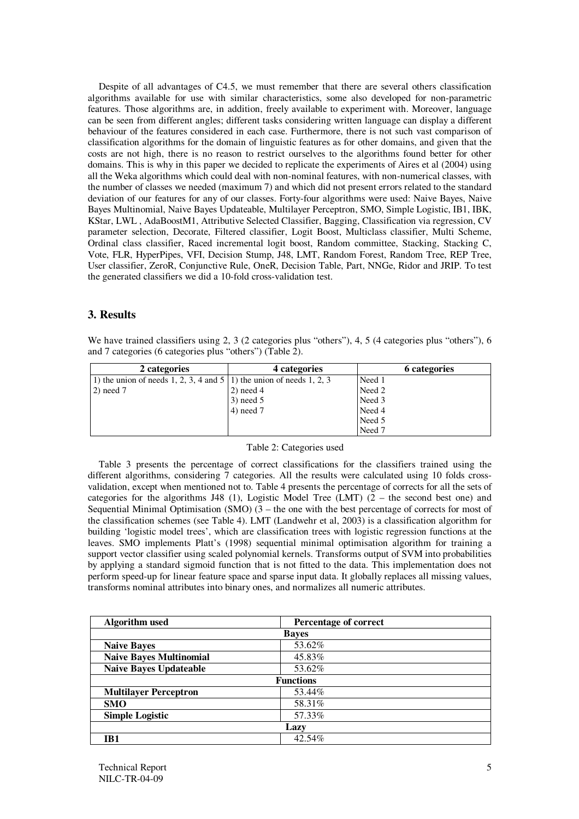Despite of all advantages of C4.5, we must remember that there are several others classification algorithms available for use with similar characteristics, some also developed for non-parametric features. Those algorithms are, in addition, freely available to experiment with. Moreover, language can be seen from different angles; different tasks considering written language can display a different behaviour of the features considered in each case. Furthermore, there is not such vast comparison of classification algorithms for the domain of linguistic features as for other domains, and given that the costs are not high, there is no reason to restrict ourselves to the algorithms found better for other domains. This is why in this paper we decided to replicate the experiments of Aires et al (2004) using all the Weka algorithms which could deal with non-nominal features, with non-numerical classes, with the number of classes we needed (maximum 7) and which did not present errors related to the standard deviation of our features for any of our classes. Forty-four algorithms were used: Naive Bayes, Naive Bayes Multinomial, Naive Bayes Updateable, Multilayer Perceptron, SMO, Simple Logistic, IB1, IBK, KStar, LWL , AdaBoostM1, Attributive Selected Classifier, Bagging, Classification via regression, CV parameter selection, Decorate, Filtered classifier, Logit Boost, Multiclass classifier, Multi Scheme, Ordinal class classifier, Raced incremental logit boost, Random committee, Stacking, Stacking C, Vote, FLR, HyperPipes, VFI, Decision Stump, J48, LMT, Random Forest, Random Tree, REP Tree, User classifier, ZeroR, Conjunctive Rule, OneR, Decision Table, Part, NNGe, Ridor and JRIP. To test the generated classifiers we did a 10-fold cross-validation test.

# **3. Results**

We have trained classifiers using 2, 3 (2 categories plus "others"), 4, 5 (4 categories plus "others"), 6 and 7 categories (6 categories plus "others") (Table 2).

| 2 categories                                                           | 4 categories | 6 categories |
|------------------------------------------------------------------------|--------------|--------------|
| 1) the union of needs 1, 2, 3, 4 and $5(1)$ the union of needs 1, 2, 3 |              | Need 1       |
| $(2)$ need 7                                                           | $2)$ need 4  | Need 2       |
|                                                                        | $3)$ need 5  | Need 3       |
|                                                                        | $4)$ need 7  | Need 4       |
|                                                                        |              | Need 5       |
|                                                                        |              | Need 7       |

#### Table 2: Categories used

Table 3 presents the percentage of correct classifications for the classifiers trained using the different algorithms, considering 7 categories. All the results were calculated using 10 folds crossvalidation, except when mentioned not to. Table 4 presents the percentage of corrects for all the sets of categories for the algorithms J48 (1), Logistic Model Tree (LMT)  $(2 -$  the second best one) and Sequential Minimal Optimisation (SMO)  $(3 -$  the one with the best percentage of corrects for most of the classification schemes (see Table 4). LMT (Landwehr et al, 2003) is a classification algorithm for building 'logistic model trees', which are classification trees with logistic regression functions at the leaves. SMO implements Platt's (1998) sequential minimal optimisation algorithm for training a support vector classifier using scaled polynomial kernels. Transforms output of SVM into probabilities by applying a standard sigmoid function that is not fitted to the data. This implementation does not perform speed-up for linear feature space and sparse input data. It globally replaces all missing values, transforms nominal attributes into binary ones, and normalizes all numeric attributes.

| <b>Algorithm</b> used          | Percentage of correct |  |  |  |  |
|--------------------------------|-----------------------|--|--|--|--|
|                                | <b>Baves</b>          |  |  |  |  |
| <b>Naive Bayes</b>             | 53.62%                |  |  |  |  |
| <b>Naive Bayes Multinomial</b> | 45.83%                |  |  |  |  |
| <b>Naive Bayes Updateable</b>  | 53.62%                |  |  |  |  |
| <b>Functions</b>               |                       |  |  |  |  |
| <b>Multilayer Perceptron</b>   | 53.44%                |  |  |  |  |
| <b>SMO</b>                     | 58.31%                |  |  |  |  |
| <b>Simple Logistic</b>         | 57.33%                |  |  |  |  |
| Lazy                           |                       |  |  |  |  |
| IB1                            | 42.54%                |  |  |  |  |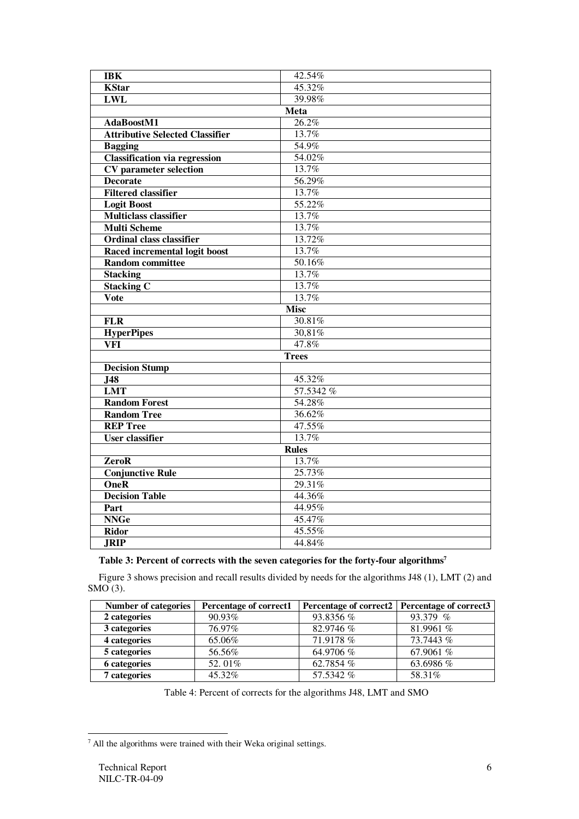| <b>IBK</b>                             | 42.54%       |  |  |  |  |
|----------------------------------------|--------------|--|--|--|--|
| <b>KStar</b>                           | 45.32%       |  |  |  |  |
| <b>LWL</b>                             | 39.98%       |  |  |  |  |
|                                        | Meta         |  |  |  |  |
| AdaBoostM1                             | 26.2%        |  |  |  |  |
| <b>Attributive Selected Classifier</b> | 13.7%        |  |  |  |  |
| <b>Bagging</b>                         | 54.9%        |  |  |  |  |
| <b>Classification via regression</b>   | 54.02%       |  |  |  |  |
| <b>CV</b> parameter selection          | 13.7%        |  |  |  |  |
| <b>Decorate</b>                        | 56.29%       |  |  |  |  |
| <b>Filtered classifier</b>             | 13.7%        |  |  |  |  |
| <b>Logit Boost</b>                     | 55.22%       |  |  |  |  |
| <b>Multiclass classifier</b>           | 13.7%        |  |  |  |  |
| <b>Multi Scheme</b>                    | 13.7%        |  |  |  |  |
| <b>Ordinal class classifier</b>        | 13.72%       |  |  |  |  |
|                                        | 13.7%        |  |  |  |  |
| Raced incremental logit boost          |              |  |  |  |  |
| <b>Random committee</b>                | 50.16%       |  |  |  |  |
| <b>Stacking</b>                        | 13.7%        |  |  |  |  |
| <b>Stacking C</b>                      | 13.7%        |  |  |  |  |
| Vote                                   | 13.7%        |  |  |  |  |
| <b>Misc</b>                            |              |  |  |  |  |
| <b>FLR</b>                             | 30.81%       |  |  |  |  |
| <b>HyperPipes</b>                      | 30,81%       |  |  |  |  |
| <b>VFI</b>                             | 47.8%        |  |  |  |  |
|                                        | <b>Trees</b> |  |  |  |  |
| <b>Decision Stump</b>                  |              |  |  |  |  |
| $J\overline{48}$                       | 45.32%       |  |  |  |  |
| <b>LMT</b>                             | 57.5342 %    |  |  |  |  |
| <b>Random Forest</b>                   | 54.28%       |  |  |  |  |
| <b>Random Tree</b>                     | 36.62%       |  |  |  |  |
| <b>REP Tree</b>                        | 47.55%       |  |  |  |  |
| <b>User classifier</b>                 | 13.7%        |  |  |  |  |
|                                        | <b>Rules</b> |  |  |  |  |
| ZeroR                                  | 13.7%        |  |  |  |  |
| <b>Conjunctive Rule</b>                | 25.73%       |  |  |  |  |
| $\overline{\text{OneR}}$               | 29.31%       |  |  |  |  |
| <b>Decision Table</b>                  | 44.36%       |  |  |  |  |
| Part                                   | 44.95%       |  |  |  |  |
| <b>NNGe</b>                            | 45.47%       |  |  |  |  |
| <b>Ridor</b>                           | 45.55%       |  |  |  |  |
| <b>JRIP</b>                            | 44.84%       |  |  |  |  |

### **Table 3: Percent of corrects with the seven categories for the forty-four algorithms 7**

Figure 3 shows precision and recall results divided by needs for the algorithms J48 (1), LMT (2) and  $SMO(3)$ .

| <b>Number of categories</b> | Percentage of correct1 | Percentage of correct2   Percentage of correct3 |            |
|-----------------------------|------------------------|-------------------------------------------------|------------|
| 2 categories                | 90.93%                 | 93.8356 %                                       | 93.379 $%$ |
| 3 categories                | 76.97%                 | 82.9746 %                                       | 81.9961 %  |
| 4 categories                | 65.06%                 | 71.9178 %                                       | 73.7443 %  |
| 5 categories                | 56.56%                 | 64.9706 %                                       | 67.9061 %  |
| <b>6</b> categories         | 52.01%                 | 62.7854 %                                       | 63.6986 %  |
| 7 categories                | 45.32%                 | 57.5342 %                                       | 58.31%     |

Table 4: Percent of corrects for the algorithms J48, LMT and SMO

<sup>7</sup> All the algorithms were trained with their Weka original settings.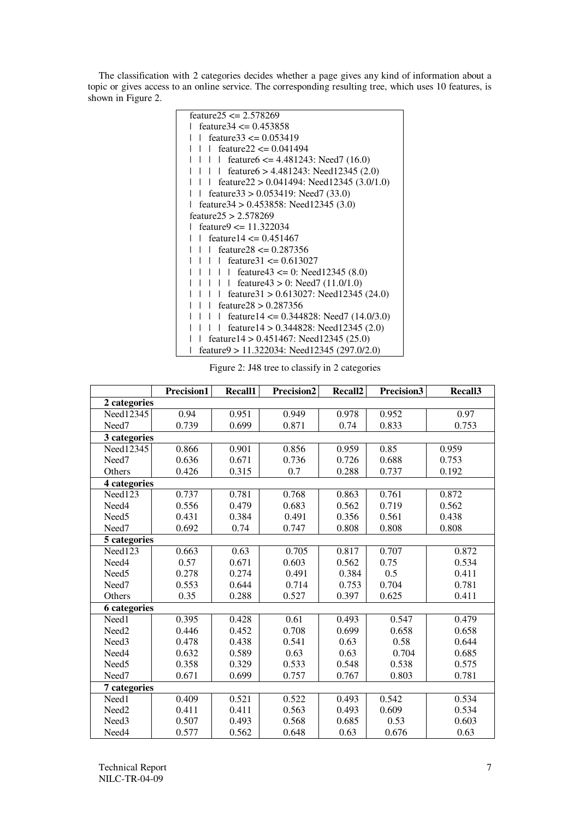The classification with 2 categories decides whether a page gives any kind of information about a topic or gives access to an online service. The corresponding resulting tree, which uses 10 features, is shown in Figure 2.

| feature $25 \le 2.578269$                                                            |
|--------------------------------------------------------------------------------------|
| feature $34 \le 0.453858$                                                            |
| feature $33 \le 0.053419$<br>L                                                       |
| feature $22 \le 0.041494$                                                            |
| feature $\epsilon$ = 4.481243: Need 7 (16.0)<br>$\perp$ $\perp$                      |
| feature $6 > 4.481243$ : Need $12345$ (2.0)<br>$\begin{array}{ccc} \end{array}$      |
| feature $22 > 0.041494$ : Need 12345 (3.0/1.0)                                       |
| feature $33 > 0.053419$ : Need $7(33.0)$                                             |
| feature $34 > 0.453858$ : Need $12345(3.0)$                                          |
| feature $25 > 2.578269$                                                              |
| feature $\epsilon$ = 11.322034                                                       |
| feature $14 \le 0.451467$                                                            |
| feature $28 \le 0.287356$                                                            |
| feature $31 \le 0.613027$<br>$\Box$                                                  |
| $\begin{array}{c} \begin{array}{c} \end{array}$<br>feature 43 <= 0: Need 12345 (8.0) |
| feature $43 > 0$ : Need $7(11.0/1.0)$<br>$\mathbf{I}$                                |
|                                                                                      |
| feature $31 > 0.613027$ : Need $12345(24.0)$                                         |
| feature $28 > 0.287356$                                                              |
| feature $14 \le 0.344828$ : Need 7 (14.0/3.0)<br>L                                   |
| feature $14 > 0.344828$ : Need $12345(2.0)$                                          |
| feature $14 > 0.451467$ : Need $12345(25.0)$                                         |
| feature $9 > 11.322034$ : Need 12345 (297.0/2.0)                                     |

Figure 2: J48 tree to classify in 2 categories

|                     | Precision1 | Recall1 | Precision2 | Recall <sub>2</sub> | Precision3 | Recall3 |
|---------------------|------------|---------|------------|---------------------|------------|---------|
| 2 categories        |            |         |            |                     |            |         |
| Need12345           | 0.94       | 0.951   | 0.949      | 0.978               | 0.952      | 0.97    |
| Need7               | 0.739      | 0.699   | 0.871      | 0.74                | 0.833      | 0.753   |
| 3 categories        |            |         |            |                     |            |         |
| Need12345           | 0.866      | 0.901   | 0.856      | 0.959               | 0.85       | 0.959   |
| Need <sub>7</sub>   | 0.636      | 0.671   | 0.736      | 0.726               | 0.688      | 0.753   |
| Others              | 0.426      | 0.315   | 0.7        | 0.288               | 0.737      | 0.192   |
| 4 categories        |            |         |            |                     |            |         |
| Need123             | 0.737      | 0.781   | 0.768      | 0.863               | 0.761      | 0.872   |
| Need4               | 0.556      | 0.479   | 0.683      | 0.562               | 0.719      | 0.562   |
| Need <sub>5</sub>   | 0.431      | 0.384   | 0.491      | 0.356               | 0.561      | 0.438   |
| Need <sub>7</sub>   | 0.692      | 0.74    | 0.747      | 0.808               | 0.808      | 0.808   |
| 5 categories        |            |         |            |                     |            |         |
| Need123             | 0.663      | 0.63    | 0.705      | 0.817               | 0.707      | 0.872   |
| Need4               | 0.57       | 0.671   | 0.603      | 0.562               | 0.75       | 0.534   |
| Need <sub>5</sub>   | 0.278      | 0.274   | 0.491      | 0.384               | 0.5        | 0.411   |
| Need7               | 0.553      | 0.644   | 0.714      | 0.753               | 0.704      | 0.781   |
| Others              | 0.35       | 0.288   | 0.527      | 0.397               | 0.625      | 0.411   |
| <b>6</b> categories |            |         |            |                     |            |         |
| Need1               | 0.395      | 0.428   | 0.61       | 0.493               | 0.547      | 0.479   |
| Need <sub>2</sub>   | 0.446      | 0.452   | 0.708      | 0.699               | 0.658      | 0.658   |
| Need <sub>3</sub>   | 0.478      | 0.438   | 0.541      | 0.63                | 0.58       | 0.644   |
| Need4               | 0.632      | 0.589   | 0.63       | 0.63                | 0.704      | 0.685   |
| Need <sub>5</sub>   | 0.358      | 0.329   | 0.533      | 0.548               | 0.538      | 0.575   |
| Need <sub>7</sub>   | 0.671      | 0.699   | 0.757      | 0.767               | 0.803      | 0.781   |
| 7 categories        |            |         |            |                     |            |         |
| Need1               | 0.409      | 0.521   | 0.522      | 0.493               | 0.542      | 0.534   |
| Need <sub>2</sub>   | 0.411      | 0.411   | 0.563      | 0.493               | 0.609      | 0.534   |
| Need <sub>3</sub>   | 0.507      | 0.493   | 0.568      | 0.685               | 0.53       | 0.603   |
| Need4               | 0.577      | 0.562   | 0.648      | 0.63                | 0.676      | 0.63    |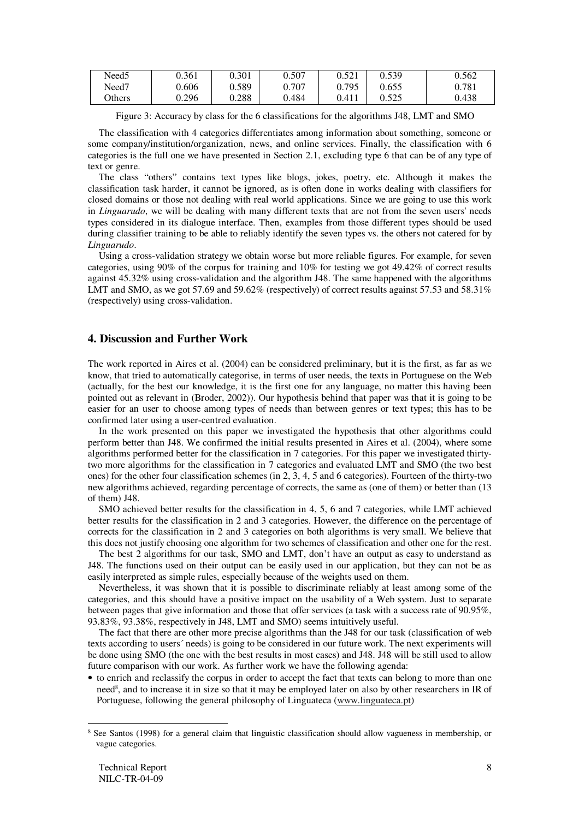| Need <sub>5</sub> | 0.361 | 0.301 | 0.507 | 0.521 | 0.539 | 0.562 |
|-------------------|-------|-------|-------|-------|-------|-------|
| Need7             | 0.606 | 0.589 | 0.707 | 0.795 | 0.655 | 0.781 |
| Others            | 0.296 | 0.288 | 0.484 | 0.411 | 0.525 | 0.438 |

Figure 3: Accuracy by class for the 6 classifications for the algorithms J48, LMT and SMO

The classification with 4 categories differentiates among information about something, someone or some company/institution/organization, news, and online services. Finally, the classification with 6 categories is the full one we have presented in Section 2.1, excluding type 6 that can be of any type of text or genre.

The class "others" contains text types like blogs, jokes, poetry, etc. Although it makes the classification task harder, it cannot be ignored, as is often done in works dealing with classifiers for closed domains or those not dealing with real world applications. Since we are going to use this work in *Linguarudo*, we will be dealing with many different texts that are not from the seven users'needs types considered in its dialogue interface. Then, examples from those different types should be used during classifier training to be able to reliably identify the seven types vs. the others not catered for by *Linguarudo*.

Using a cross-validation strategy we obtain worse but more reliable figures. For example, for seven categories, using 90% of the corpus for training and 10% for testing we got 49.42% of correct results against 45.32% using cross-validation and the algorithm J48. The same happened with the algorithms LMT and SMO, as we got 57.69 and 59.62% (respectively) of correct results against 57.53 and 58.31% (respectively) using cross-validation.

# **4. Discussion and Further Work**

The work reported in Aires et al. (2004) can be considered preliminary, but it is the first, as far as we know, that tried to automatically categorise, in terms of user needs, the texts in Portuguese on the Web (actually, for the best our knowledge, it is the first one for any language, no matter this having been pointed out as relevant in (Broder, 2002)). Our hypothesis behind that paper was that it is going to be easier for an user to choose among types of needs than between genres or text types; this has to be confirmed later using a user-centred evaluation.

In the work presented on this paper we investigated the hypothesis that other algorithms could perform better than J48. We confirmed the initial results presented in Aires et al. (2004), where some algorithms performed better for the classification in 7 categories. For this paper we investigated thirtytwo more algorithms for the classification in 7 categories and evaluated LMT and SMO (the two best ones) for the other four classification schemes (in 2, 3, 4, 5 and 6 categories). Fourteen of the thirty-two new algorithms achieved, regarding percentage of corrects, the same as (one of them) or better than (13 of them) J48.

SMO achieved better results for the classification in 4, 5, 6 and 7 categories, while LMT achieved better results for the classification in 2 and 3 categories. However, the difference on the percentage of corrects for the classification in 2 and 3 categories on both algorithms is very small. We believe that this does not justify choosing one algorithm for two schemes of classification and other one for the rest.

The best 2 algorithms for our task, SMO and LMT, don't have an output as easy to understand as J48. The functions used on their output can be easily used in our application, but they can not be as easily interpreted as simple rules, especially because of the weights used on them.

Nevertheless, it was shown that it is possible to discriminate reliably at least among some of the categories, and this should have a positive impact on the usability of a Web system. Just to separate between pages that give information and those that offer services (a task with a success rate of 90.95%, 93.83%, 93.38%, respectively in J48, LMT and SMO) seems intuitively useful.

The fact that there are other more precise algorithms than the J48 for our task (classification of web texts according to users´ needs) is going to be considered in our future work. The next experiments will be done using SMO (the one with the best results in most cases) and J48. J48 will be still used to allow future comparison with our work. As further work we have the following agenda:

• to enrich and reclassify the corpus in order to accept the fact that texts can belong to more than one need 8 , and to increase it in size so that it may be employed later on also by other researchers in IR of Portuguese, following the general philosophy of Linguateca (www.linguateca.pt)

<sup>8</sup> See Santos (1998) for a general claim that linguistic classification should allow vagueness in membership, or vague categories.